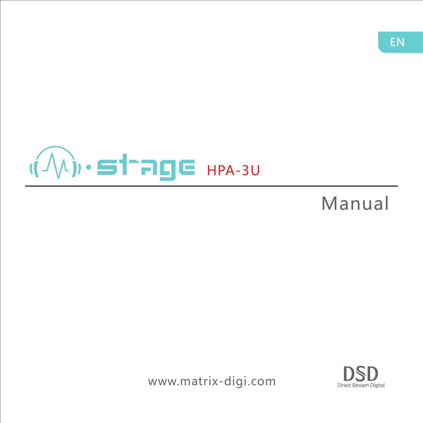

# Manual

www.matrix-digi.com

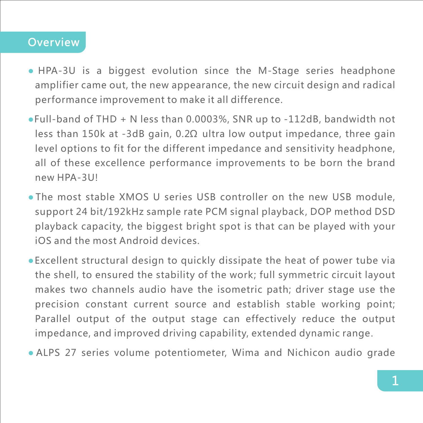### **Overview**

- HPA-3U is a biggest evolution since the M-Stage series headphone amplifier came out, the new appearance, the new circuit design and radical performance improvement to make it all difference.
- Full-band of THD + N less than 0.0003%, SNR up to -112dB, bandwidth not less than 150k at -3dB gain, 0.2Ω ultra low output impedance, three gain level options to fit for the different impedance and sensitivity headphone, all of these excellence performance improvements to be born the brand new HPA-3U!
- The most stable XMOS U series USB controller on the new USB module, support 24 bit/192kHz sample rate PCM signal playback, DOP method DSD playback capacity, the biggest bright spot is that can be played with your iOS and the most Android devices.
- Excellent structural design to quickly dissipate the heat of power tube via the shell, to ensured the stability of the work; full symmetric circuit layout makes two channels audio have the isometric path; driver stage use the precision constant current source and establish stable working point; Parallel output of the output stage can effectively reduce the output impedance, and improved driving capability, extended dynamic range.
- ALPS 27 series volume potentiometer, Wima and Nichicon audio grade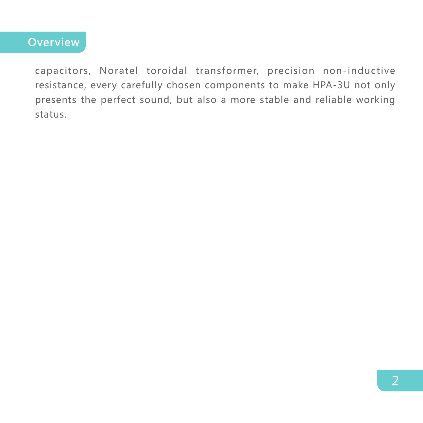## **Overview**

capacitors, Noratel toroidal transformer, precision non-inductive resistance, every carefully chosen components to make HPA-3U not only presents the perfect sound, but also a more stable and reliable working status.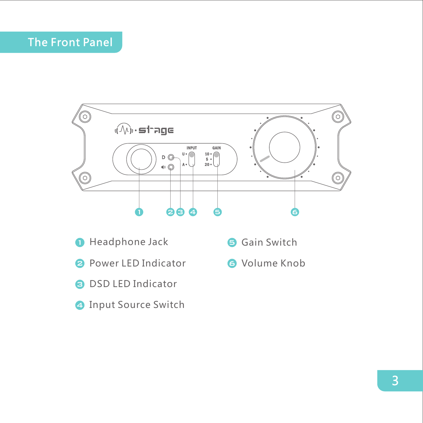# The Front Panel



- **O** Headphone Jack
- **2** Power LED Indicator
- **DSD LED Indicator**
- **O** Input Source Switch
- **G** Gain Switch
- **G** Volume Knob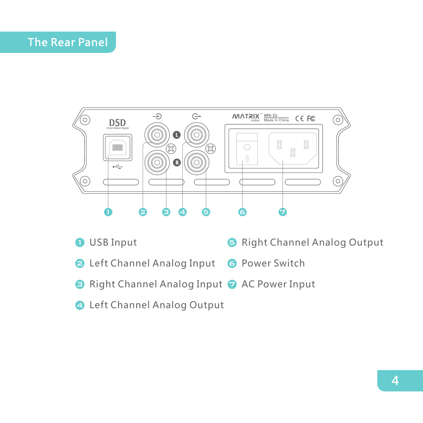### The Rear Panel



- Right Channel Analog Output **O** USB Input 6
- **2** Left Channel Analog Input **B** Power Switch
- Right Channel Analog Input AC Power Input
- Left Channel Analog Output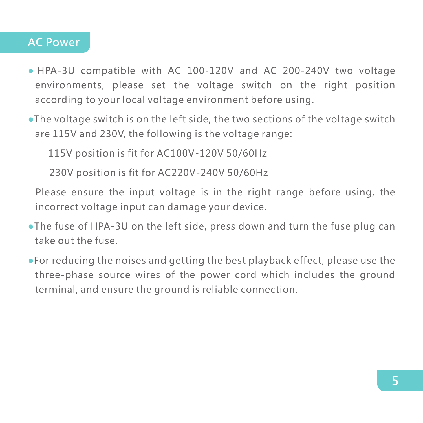### AC Power

- HPA-3U compatible with AC 100-120V and AC 200-240V two voltage environments, please set the voltage switch on the right position according to your local voltage environment before using.
- The voltage switch is on the left side, the two sections of the voltage switch are 115V and 230V, the following is the voltage range:

115V position is fit for AC100V-120V 50/60Hz

230V position is fit for AC220V-240V 50/60Hz

Please ensure the input voltage is in the right range before using, the incorrect voltage input can damage your device.

- The fuse of HPA-3U on the left side, press down and turn the fuse plug can take out the fuse.
- For reducing the noises and getting the best playback effect, please use the three-phase source wires of the power cord which includes the ground terminal, and ensure the ground is reliable connection.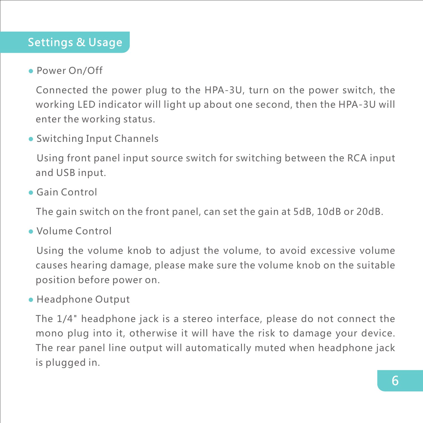### Settings & Usage

### ● Power On/Off

Connected the power plug to the HPA-3U, turn on the power switch, the working LED indicator will light up about one second, then the HPA-3U will enter the working status.

### ● Switching Input Channels

Using front panel input source switch for switching between the RCA input and USB input.

#### ● Gain Control

The gain switch on the front panel, can set the gain at 5dB, 10dB or 20dB.

● Volume Control

Using the volume knob to adjust the volume, to avoid excessive volume causes hearing damage, please make sure the volume knob on the suitable position before power on.

#### ● Headphone Output

The 1/4" headphone jack is a stereo interface, please do not connect the mono plug into it, otherwise it will have the risk to damage your device. The rear panel line output will automatically muted when headphone jack is plugged in.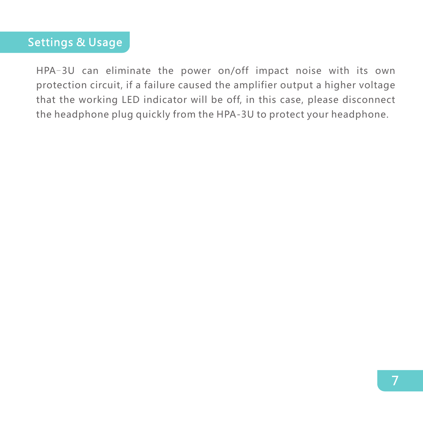### Settings & Usage

HPA-3U can eliminate the power on/off impact noise with its own protection circuit, if a failure caused the amplifier output a higher voltage that the working LED indicator will be off, in this case, please disconnect the headphone plug quickly from the HPA-3U to protect your headphone.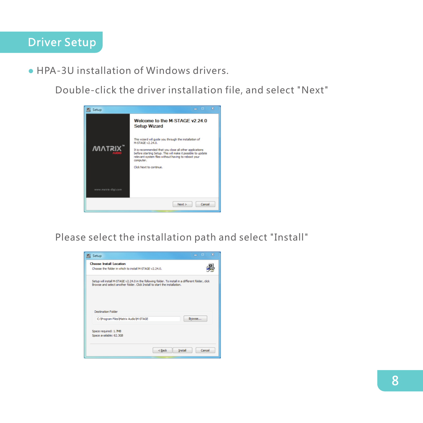● HPA-3U installation of Windows drivers.

Double-click the driver installation file, and select "Next"

| Setup               | $\overline{\mathbf{X}}$<br>. .<br>$\overline{\phantom{0}}$                                                                                                                                                                                                                                         |
|---------------------|----------------------------------------------------------------------------------------------------------------------------------------------------------------------------------------------------------------------------------------------------------------------------------------------------|
|                     | Welcome to the M-STAGF v2 24 0<br><b>Setup Wizard</b>                                                                                                                                                                                                                                              |
| <b>MATRIX</b>       | This wizard will guide you through the installation of<br>M-STAGE v2.24.0.<br>It is recommended that you dose all other applications<br>before starting Setup. This will make it possible to update<br>relevant system files without having to reboot your<br>computer.<br>Click Next to continue. |
| www.matrix-digi.com |                                                                                                                                                                                                                                                                                                    |
|                     | Cancel<br>Next >                                                                                                                                                                                                                                                                                   |

Please select the installation path and select "Install"

| <b>Choose Install Location</b><br>Choose the folder in which to install M-STAGE v2.24.0.                                                                                          |        |
|-----------------------------------------------------------------------------------------------------------------------------------------------------------------------------------|--------|
| Setup will install M-STAGE v2.24.0 in the following folder. To install in a different folder, click<br>Browse and select another folder. Click Install to start the installation. |        |
| <b>Destination Folder</b>                                                                                                                                                         | Browse |
| C: \Program Files\Matrix Audio\M-STAGE                                                                                                                                            |        |
| Space required: 1.7MB<br>Space available: 62.3GB                                                                                                                                  |        |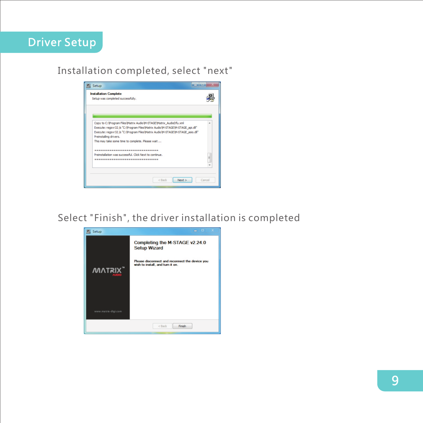

#### Installation completed, select "next"



Select "Finish", the driver installation is completed

| ه<br>Setup          | - -                                                                                |
|---------------------|------------------------------------------------------------------------------------|
|                     | Completing the M-STAGE v2.24.0<br><b>Setup Wizard</b>                              |
| <b>MATRIX</b>       | Please disconnect and reconnect the device you<br>wish to install, and turn it on. |
| www.matrix-digi.com |                                                                                    |
|                     | $<$ Back<br>Finish                                                                 |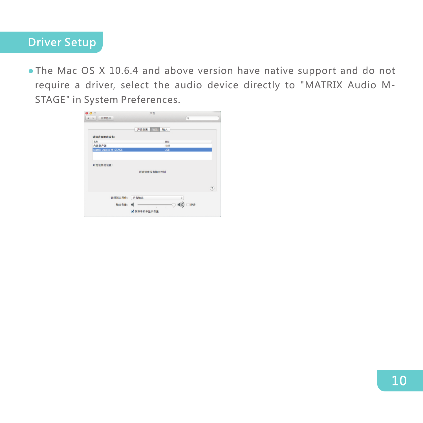### Driver Setup

● The Mac OS X 10.6.4 and above version have native support and do not require a driver, select the audio device directly to "MATRIX Audio M-STAGE" in System Preferences.

| 000                                                                          | 声音               |            |
|------------------------------------------------------------------------------|------------------|------------|
| $\begin{array}{c c c c c} A & & \rightarrow & \\ \hline \end{array}$<br>全部显示 |                  | $\alpha$   |
|                                                                              | 输入<br>声音效果<br>输出 |            |
| 选择声音输出设备:                                                                    |                  |            |
| 名称                                                                           | 类型               |            |
| 内置扬声器                                                                        | 内律               |            |
| <b>Matrix Audio M-STAGE</b>                                                  | <b>USB</b>       |            |
| 所选设备的设置:                                                                     |                  |            |
|                                                                              | 所选设备没有输出控制       |            |
|                                                                              |                  |            |
|                                                                              |                  | (7)        |
| 音频端口用作:                                                                      | 声音输出             | ÷          |
| 输出音量:                                                                        | ٠<br>٠<br>٠      | ■り)<br>□静音 |
|                                                                              | ■在業单栏中显示音量       |            |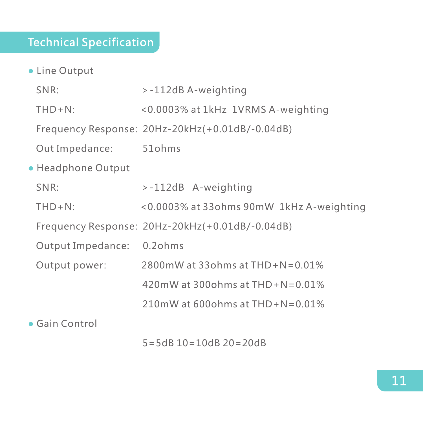### Technical Specification

● Line Output ● Headphone Output ● Gain Control SNR: >-112dB A-weighting THD+N: <0.0003% at 1kHz 1VRMS A-weighting Frequency Response: 20Hz-20kHz(+0.01dB/-0.04dB) Out Impedance: 51ohms SNR: >-112dB A-weighting THD+N: <0.0003% at 33ohms 90mW 1kHz A-weighting Frequency Response: 20Hz-20kHz(+0.01dB/-0.04dB) Output Impedance: 0.2ohms Output power: 2800mW at 33ohms at THD+N=0.01% 420mW at 300ohms at THD+N=0.01% 210mW at 600ohms at THD+N=0.01%

5=5dB 10=10dB 20=20dB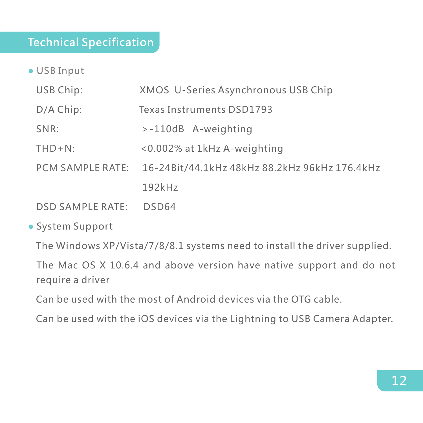### Technical Specification

- USB Input
	- USB Chip: XMOS U-Series Asynchronous USB Chip
	- D/A Chip: Texas Instruments DSD1793
	- SNR: >-110dB A-weighting
	- THD+N: <0.002% at 1kHz A-weighting
	- PCM SAMPLE RATE: 16-24Bit/44.1kHz 48kHz 88.2kHz 96kHz 176.4kHz 192kHz
	- DSD SAMPLE RATE: DSD64
- System Support

The Windows XP/Vista/7/8/8.1 systems need to install the driver supplied.

The Mac OS X 10.6.4 and above version have native support and do not require a driver

Can be used with the most of Android devices via the OTG cable.

Can be used with the iOS devices via the Lightning to USB Camera Adapter.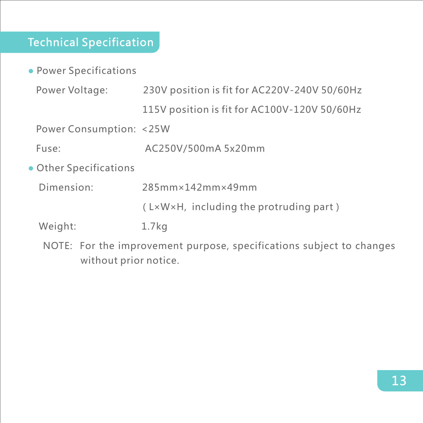# Technical Specification

• Power Specifications

| Power Voltage:          | 230V position is fit for AC220V-240V 50/60Hz            |
|-------------------------|---------------------------------------------------------|
|                         | 115V position is fit for AC100V-120V 50/60Hz            |
| Power Consumption: <25W |                                                         |
| Fuse:                   | AC250V/500mA 5x20mm                                     |
| • Other Specifications  |                                                         |
| Dimension:              | 285mm×142mm×49mm                                        |
|                         | $(L \times W \times H$ , including the protruding part) |
| Weight:                 | 1.7 <sub>kq</sub>                                       |

NOTE: For the improvement purpose, specifications subject to changes without prior notice.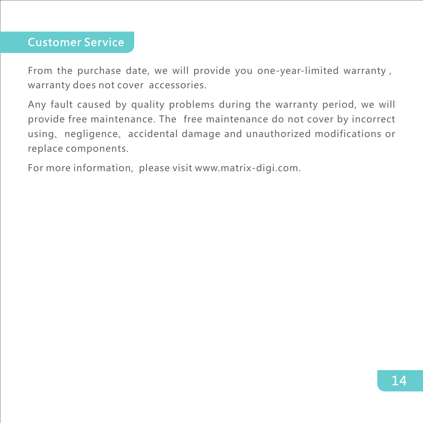### Customer Service

From the purchase date, we will provide you one-year-limited warranty, warranty does not cover accessories.

Any fault caused by quality problems during the warranty period, we will provide free maintenance. The free maintenance do not cover by incorrect using、negligence、accidental damage and unauthorized modifications or replace components.

For more information, please visit www.matrix-digi.com.